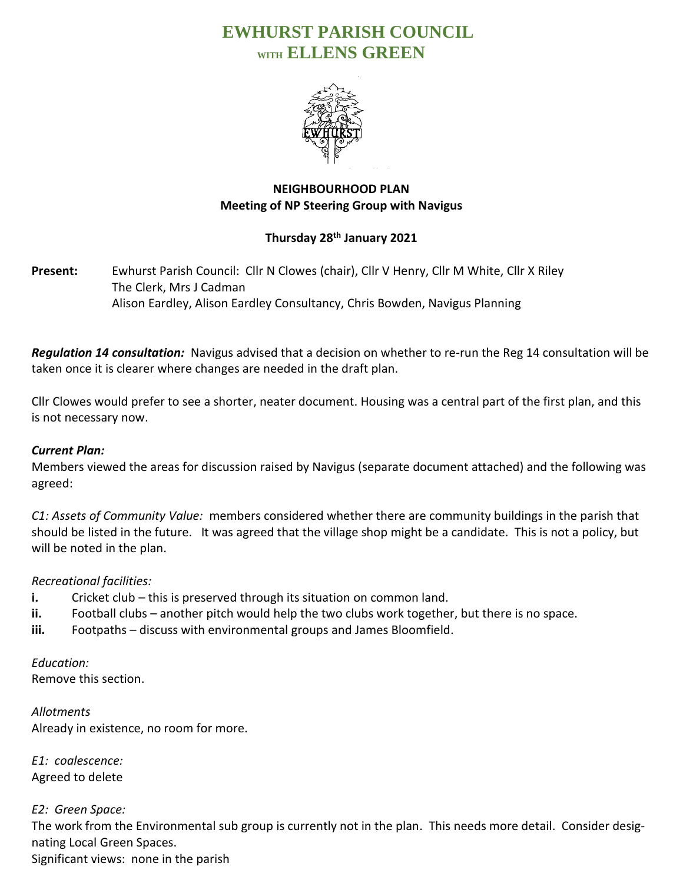# **EWHURST PARISH COUNCIL WITH ELLENS GREEN**



## **NEIGHBOURHOOD PLAN Meeting of NP Steering Group with Navigus**

## **Thursday 28th January 2021**

**Present:** Ewhurst Parish Council: Cllr N Clowes (chair), Cllr V Henry, Cllr M White, Cllr X Riley The Clerk, Mrs J Cadman Alison Eardley, Alison Eardley Consultancy, Chris Bowden, Navigus Planning

*Regulation 14 consultation:* Navigus advised that a decision on whether to re-run the Reg 14 consultation will be taken once it is clearer where changes are needed in the draft plan.

Cllr Clowes would prefer to see a shorter, neater document. Housing was a central part of the first plan, and this is not necessary now.

## *Current Plan:*

Members viewed the areas for discussion raised by Navigus (separate document attached) and the following was agreed:

*C1: Assets of Community Value:* members considered whether there are community buildings in the parish that should be listed in the future. It was agreed that the village shop might be a candidate. This is not a policy, but will be noted in the plan.

## *Recreational facilities:*

- **i.** Cricket club this is preserved through its situation on common land.
- **ii.** Football clubs another pitch would help the two clubs work together, but there is no space.
- **iii.** Footpaths discuss with environmental groups and James Bloomfield.

*Education:* Remove this section.

*Allotments* Already in existence, no room for more.

*E1: coalescence:* Agreed to delete

*E2: Green Space:* The work from the Environmental sub group is currently not in the plan. This needs more detail. Consider designating Local Green Spaces. Significant views: none in the parish